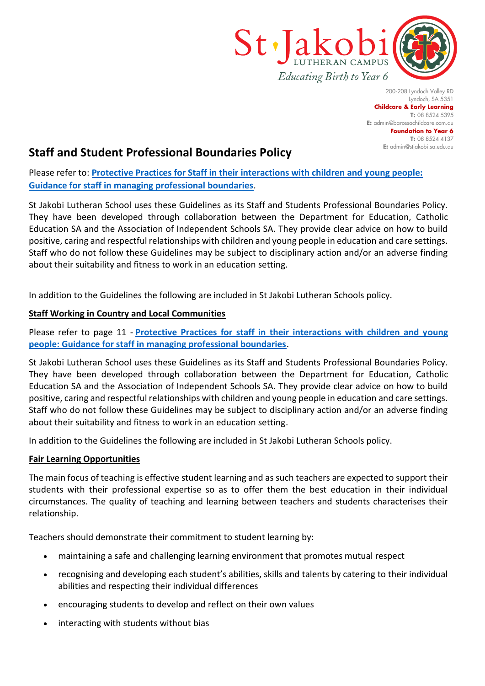

200-208 Lyndoch Valley RD Lyndoch, SA 5351 **Childcare & Early Learning T:** 08 8524 5395 **E:** [admin@barossachildcare.com.au](mailto:admin@barossachildcare.com.au) **Foundation to Year 6 T:** 08 8524 4137 **E:** admin@stjakobi.sa.edu.au

# **Staff and Student Professional Boundaries Policy**

Please refer to: **[Protective Practices for Staff in their interactions with children and young people:](https://www.education.sa.gov.au/sites/default/files/protective_practices_for_staff_in_their_interactions_with_children_and_young_people.pdf?v=1554684254)  Guidance [for staff in managing professional boundaries](https://www.education.sa.gov.au/sites/default/files/protective_practices_for_staff_in_their_interactions_with_children_and_young_people.pdf?v=1554684254)**.

St Jakobi Lutheran School uses these Guidelines as its Staff and Students Professional Boundaries Policy. They have been developed through collaboration between the Department for Education, Catholic Education SA and the Association of Independent Schools SA. They provide clear advice on how to build positive, caring and respectful relationships with children and young people in education and care settings. Staff who do not follow these Guidelines may be subject to disciplinary action and/or an adverse finding about their suitability and fitness to work in an education setting.

In addition to the Guidelines the following are included in St Jakobi Lutheran Schools policy.

## **Staff Working in Country and Local Communities**

Please refer to page 11 - **[Protective Practices for staff in their interactions with children and young](https://www.education.sa.gov.au/sites/default/files/protective_practices_for_staff_in_their_interactions_with_children_and_young_people.pdf?v=1554684254)  [people: Guidance for staff in managing professional boundaries](https://www.education.sa.gov.au/sites/default/files/protective_practices_for_staff_in_their_interactions_with_children_and_young_people.pdf?v=1554684254)**.

St Jakobi Lutheran School uses these Guidelines as its Staff and Students Professional Boundaries Policy. They have been developed through collaboration between the Department for Education, Catholic Education SA and the Association of Independent Schools SA. They provide clear advice on how to build positive, caring and respectful relationships with children and young people in education and care settings. Staff who do not follow these Guidelines may be subject to disciplinary action and/or an adverse finding about their suitability and fitness to work in an education setting.

In addition to the Guidelines the following are included in St Jakobi Lutheran Schools policy.

## **Fair Learning Opportunities**

The main focus of teaching is effective student learning and as such teachers are expected to support their students with their professional expertise so as to offer them the best education in their individual circumstances. The quality of teaching and learning between teachers and students characterises their relationship.

Teachers should demonstrate their commitment to student learning by:

- maintaining a safe and challenging learning environment that promotes mutual respect
- recognising and developing each student's abilities, skills and talents by catering to their individual abilities and respecting their individual differences
- encouraging students to develop and reflect on their own values
- interacting with students without bias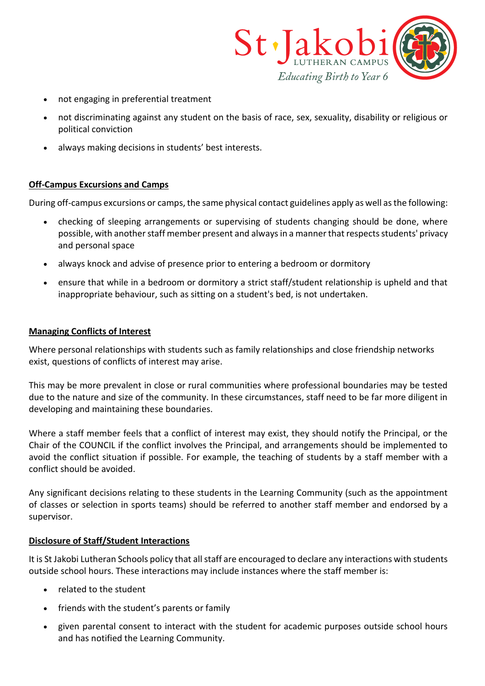

- not engaging in preferential treatment
- not discriminating against any student on the basis of race, sex, sexuality, disability or religious or political conviction
- always making decisions in students' best interests.

#### **Off-Campus Excursions and Camps**

During off-campus excursions or camps, the same physical contact guidelines apply as well as the following:

- checking of sleeping arrangements or supervising of students changing should be done, where possible, with another staff member present and always in a manner that respects students' privacy and personal space
- always knock and advise of presence prior to entering a bedroom or dormitory
- ensure that while in a bedroom or dormitory a strict staff/student relationship is upheld and that inappropriate behaviour, such as sitting on a student's bed, is not undertaken.

## **Managing Conflicts of Interest**

Where personal relationships with students such as family relationships and close friendship networks exist, questions of conflicts of interest may arise.

This may be more prevalent in close or rural communities where professional boundaries may be tested due to the nature and size of the community. In these circumstances, staff need to be far more diligent in developing and maintaining these boundaries.

Where a staff member feels that a conflict of interest may exist, they should notify the Principal, or the Chair of the COUNCIL if the conflict involves the Principal, and arrangements should be implemented to avoid the conflict situation if possible. For example, the teaching of students by a staff member with a conflict should be avoided.

Any significant decisions relating to these students in the Learning Community (such as the appointment of classes or selection in sports teams) should be referred to another staff member and endorsed by a supervisor.

## **Disclosure of Staff/Student Interactions**

It is St Jakobi Lutheran Schools policy that all staff are encouraged to declare any interactions with students outside school hours. These interactions may include instances where the staff member is:

- related to the student
- friends with the student's parents or family
- given parental consent to interact with the student for academic purposes outside school hours and has notified the Learning Community.